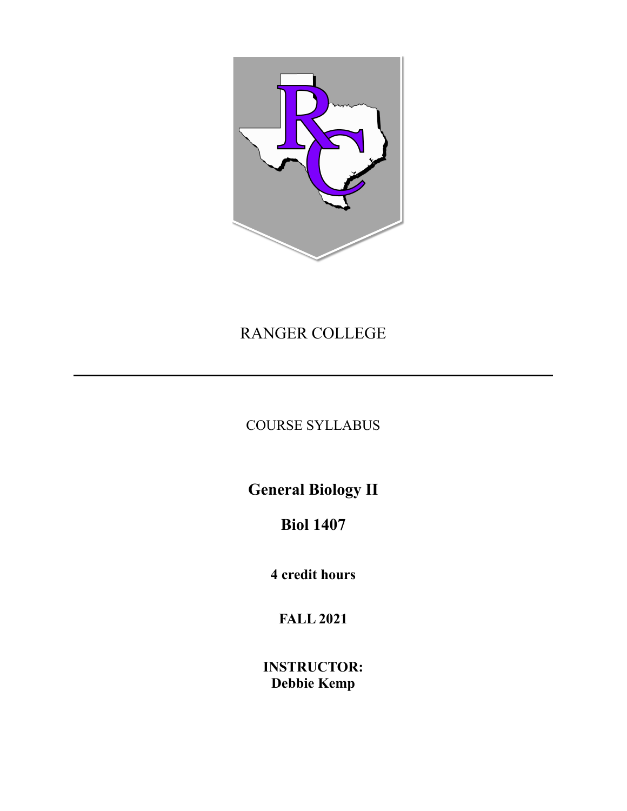

## RANGER COLLEGE

## COURSE SYLLABUS

**General Biology II**

# **Biol 1407**

**4 credit hours**

**FALL 2021**

**INSTRUCTOR: Debbie Kemp**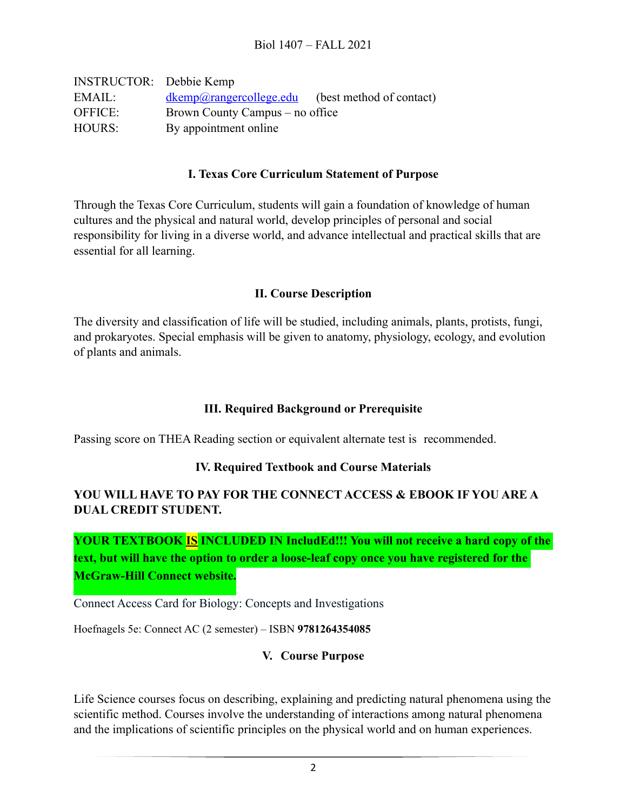| <b>INSTRUCTOR:</b> Debbie Kemp |                                                     |  |
|--------------------------------|-----------------------------------------------------|--|
| EMAIL:                         | $dkemp@range$ rcollege.edu (best method of contact) |  |
| <b>OFFICE:</b>                 | Brown County Campus – no office                     |  |
| HOURS:                         | By appointment online                               |  |

#### **I. Texas Core Curriculum Statement of Purpose**

Through the Texas Core Curriculum, students will gain a foundation of knowledge of human cultures and the physical and natural world, develop principles of personal and social responsibility for living in a diverse world, and advance intellectual and practical skills that are essential for all learning.

#### **II. Course Description**

The diversity and classification of life will be studied, including animals, plants, protists, fungi, and prokaryotes. Special emphasis will be given to anatomy, physiology, ecology, and evolution of plants and animals.

#### **III. Required Background or Prerequisite**

Passing score on THEA Reading section or equivalent alternate test is recommended.

#### **IV. Required Textbook and Course Materials**

### **YOU WILL HAVE TO PAY FOR THE CONNECT ACCESS & EBOOK IF YOU ARE A DUAL CREDIT STUDENT.**

**YOUR TEXTBOOK IS INCLUDED IN IncludEd!!! You will not receive a hard copy of the text, but will have the option to order a loose-leaf copy once you have registered for the McGraw-Hill Connect website.**

Connect Access Card for Biology: Concepts and Investigations

Hoefnagels 5e: Connect AC (2 semester) – ISBN **9781264354085** 

## **V. Course Purpose**

Life Science courses focus on describing, explaining and predicting natural phenomena using the scientific method. Courses involve the understanding of interactions among natural phenomena and the implications of scientific principles on the physical world and on human experiences.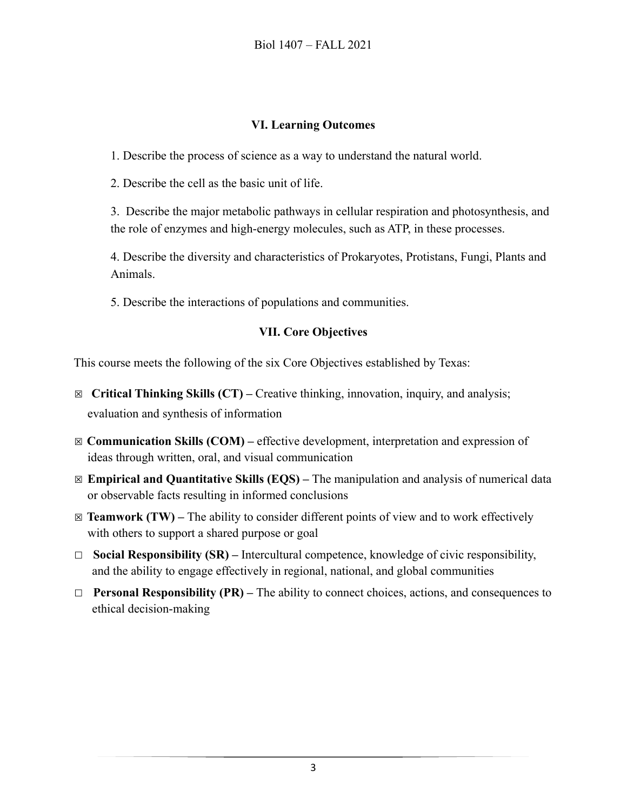### **VI. Learning Outcomes**

1. Describe the process of science as a way to understand the natural world.

2. Describe the cell as the basic unit of life.

3. Describe the major metabolic pathways in cellular respiration and photosynthesis, and the role of enzymes and high-energy molecules, such as ATP, in these processes.

4. Describe the diversity and characteristics of Prokaryotes, Protistans, Fungi, Plants and Animals.

5. Describe the interactions of populations and communities.

## **VII. Core Objectives**

This course meets the following of the six Core Objectives established by Texas:

- ☒ **Critical Thinking Skills (CT)** Creative thinking, innovation, inquiry, and analysis; evaluation and synthesis of information
- ☒ **Communication Skills (COM)** effective development, interpretation and expression of ideas through written, oral, and visual communication
- ☒ **Empirical and Quantitative Skills (EQS)** The manipulation and analysis of numerical data or observable facts resulting in informed conclusions
- $\boxtimes$  **Teamwork (TW)** The ability to consider different points of view and to work effectively with others to support a shared purpose or goal
- ☐ **Social Responsibility (SR)** Intercultural competence, knowledge of civic responsibility, and the ability to engage effectively in regional, national, and global communities
- ☐ **Personal Responsibility (PR)** The ability to connect choices, actions, and consequences to ethical decision-making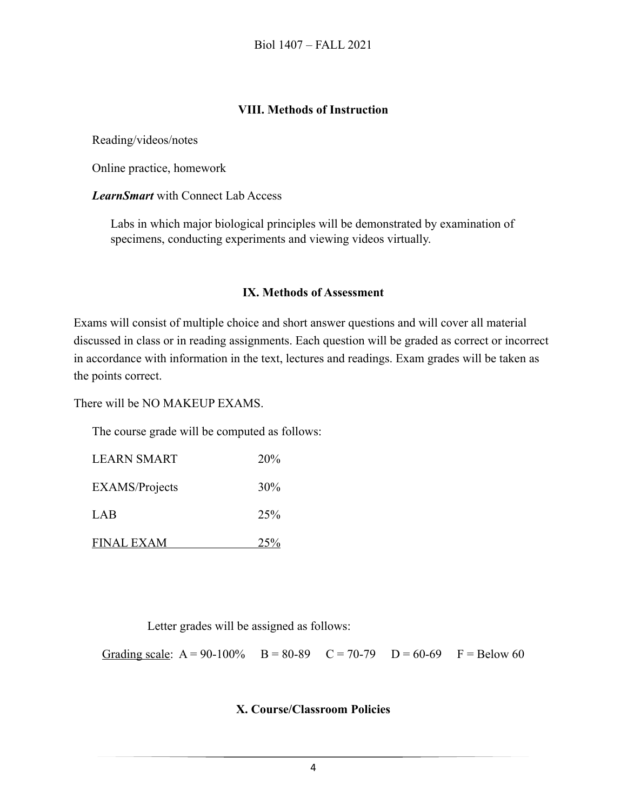#### **VIII. Methods of Instruction**

Reading/videos/notes

Online practice, homework

*LearnSmart* with Connect Lab Access

Labs in which major biological principles will be demonstrated by examination of specimens, conducting experiments and viewing videos virtually.

#### **IX. Methods of Assessment**

Exams will consist of multiple choice and short answer questions and will cover all material discussed in class or in reading assignments. Each question will be graded as correct or incorrect in accordance with information in the text, lectures and readings. Exam grades will be taken as the points correct.

There will be NO MAKEUP EXAMS.

The course grade will be computed as follows:

| <b>LEARN SMART</b>    | <b>20%</b>      |
|-----------------------|-----------------|
| <b>EXAMS/Projects</b> | 30%             |
| LAB                   | 25 <sup>%</sup> |
| <b>FINAL EXAM</b>     | 25%             |

Letter grades will be assigned as follows:

Grading scale:  $A = 90-100\%$   $B = 80-89$   $C = 70-79$   $D = 60-69$   $F = Below 60$ 

#### **X. Course/Classroom Policies**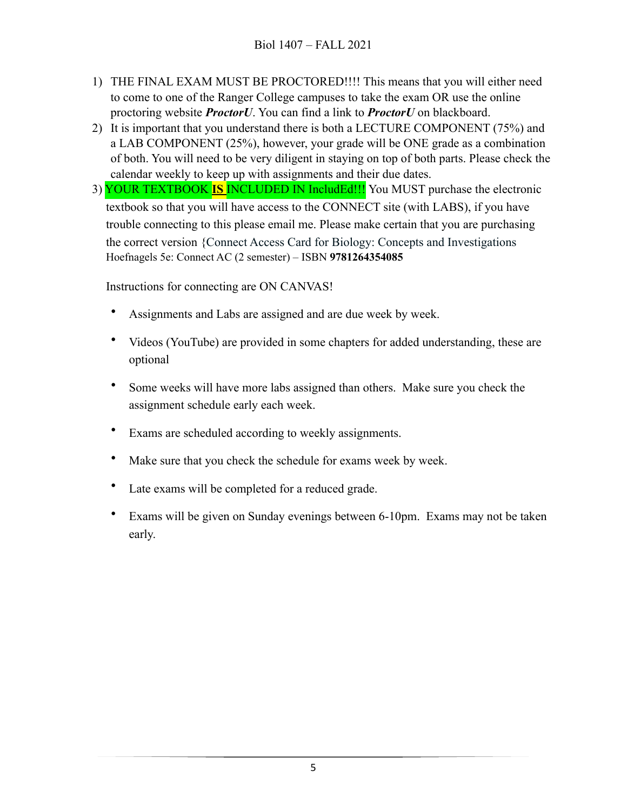- 1) THE FINAL EXAM MUST BE PROCTORED!!!! This means that you will either need to come to one of the Ranger College campuses to take the exam OR use the online proctoring website *ProctorU*. You can find a link to *ProctorU* on blackboard.
- 2) It is important that you understand there is both a LECTURE COMPONENT (75%) and a LAB COMPONENT (25%), however, your grade will be ONE grade as a combination of both. You will need to be very diligent in staying on top of both parts. Please check the calendar weekly to keep up with assignments and their due dates.
- 3) YOUR TEXTBOOK **IS** INCLUDED IN IncludEd!!! You MUST purchase the electronic textbook so that you will have access to the CONNECT site (with LABS), if you have trouble connecting to this please email me. Please make certain that you are purchasing the correct version {Connect Access Card for Biology: Concepts and Investigations Hoefnagels 5e: Connect AC (2 semester) – ISBN **9781264354085**

Instructions for connecting are ON CANVAS!

- Assignments and Labs are assigned and are due week by week.
- Videos (YouTube) are provided in some chapters for added understanding, these are optional
- Some weeks will have more labs assigned than others. Make sure you check the assignment schedule early each week.
- Exams are scheduled according to weekly assignments.
- Make sure that you check the schedule for exams week by week.
- Late exams will be completed for a reduced grade.
- Exams will be given on Sunday evenings between 6-10pm. Exams may not be taken early.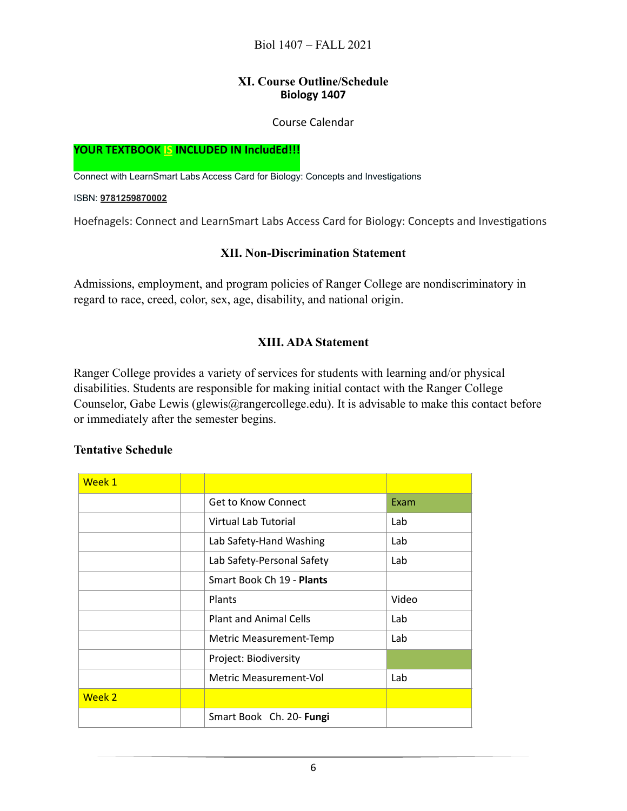#### **XI. Course Outline/Schedule Biology 1407**

#### Course Calendar

#### **YOUR TEXTBOOK IS INCLUDED IN IncludEd!!!**

Connect with LearnSmart Labs Access Card for Biology: Concepts and Investigations

ISBN: **[9781259870002](https://c.na28.visual.force.com/apex/eSalesProductSummary?id=01t1A000004OjW2QAK)**

Hoefnagels: Connect and LearnSmart Labs Access Card for Biology: Concepts and Investigations

#### **XII. Non-Discrimination Statement**

Admissions, employment, and program policies of Ranger College are nondiscriminatory in regard to race, creed, color, sex, age, disability, and national origin.

#### **XIII. ADA Statement**

Ranger College provides a variety of services for students with learning and/or physical disabilities. Students are responsible for making initial contact with the Ranger College Counselor, Gabe Lewis (glewis@rangercollege.edu). It is advisable to make this contact before or immediately after the semester begins.

#### **Tentative Schedule**

| Week 1 |                               |       |  |
|--------|-------------------------------|-------|--|
|        | <b>Get to Know Connect</b>    | Exam  |  |
|        | Virtual Lab Tutorial          | Lab   |  |
|        | Lab Safety-Hand Washing       | Lab   |  |
|        | Lab Safety-Personal Safety    | Lab   |  |
|        | Smart Book Ch 19 - Plants     |       |  |
|        | Plants                        | Video |  |
|        | <b>Plant and Animal Cells</b> | Lab   |  |
|        | Metric Measurement-Temp       | Lab   |  |
|        | Project: Biodiversity         |       |  |
|        | Metric Measurement-Vol        | Lab   |  |
| Week 2 |                               |       |  |
|        | Smart Book Ch. 20- Fungi      |       |  |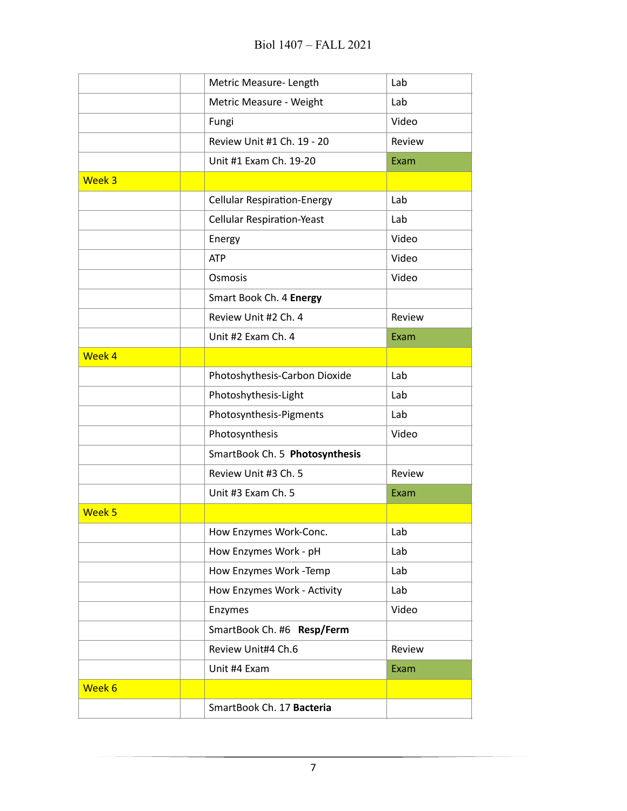|                   | Metric Measure-Length              | Lab    |  |
|-------------------|------------------------------------|--------|--|
|                   | Metric Measure - Weight            | Lab    |  |
|                   | Fungi                              | Video  |  |
|                   | Review Unit #1 Ch. 19 - 20         | Review |  |
|                   | Unit #1 Exam Ch. 19-20             | Exam   |  |
| Week 3            |                                    |        |  |
|                   | <b>Cellular Respiration-Energy</b> | Lab    |  |
|                   | <b>Cellular Respiration-Yeast</b>  | Lab    |  |
|                   | Energy                             | Video  |  |
|                   | <b>ATP</b>                         | Video  |  |
|                   | Osmosis                            | Video  |  |
|                   | Smart Book Ch. 4 Energy            |        |  |
|                   | Review Unit #2 Ch. 4               | Review |  |
|                   | Unit #2 Exam Ch. 4                 | Exam   |  |
| Week 4            |                                    |        |  |
|                   | Photoshythesis-Carbon Dioxide      | Lab    |  |
|                   | Photoshythesis-Light               | Lab    |  |
|                   | Photosynthesis-Pigments            | Lab    |  |
|                   | Photosynthesis                     | Video  |  |
|                   | SmartBook Ch. 5 Photosynthesis     |        |  |
|                   | Review Unit #3 Ch. 5               | Review |  |
|                   | Unit #3 Exam Ch. 5                 | Exam   |  |
| Week <sub>5</sub> |                                    |        |  |
|                   | How Enzymes Work-Conc.             | Lab    |  |
|                   | How Enzymes Work - pH              | Lab    |  |
|                   | How Enzymes Work -Temp             | Lab    |  |
|                   | How Enzymes Work - Activity        | Lab    |  |
|                   | Enzymes                            | Video  |  |
|                   | SmartBook Ch. #6 Resp/Ferm         |        |  |
|                   | Review Unit#4 Ch.6                 | Review |  |
|                   | Unit #4 Exam                       | Exam   |  |
| Week 6            |                                    |        |  |
|                   | SmartBook Ch. 17 Bacteria          |        |  |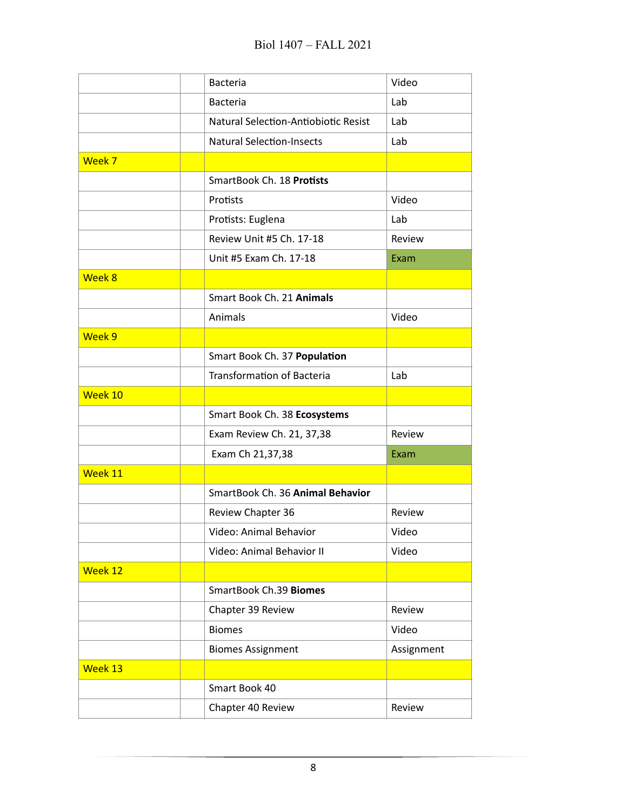|         | <b>Bacteria</b>                      | Video      |  |
|---------|--------------------------------------|------------|--|
|         | <b>Bacteria</b>                      | Lab        |  |
|         | Natural Selection-Antiobiotic Resist | Lab        |  |
|         | <b>Natural Selection-Insects</b>     | Lab        |  |
| Week 7  |                                      |            |  |
|         | SmartBook Ch. 18 Protists            |            |  |
|         | Protists                             | Video      |  |
|         | Protists: Euglena                    | Lab        |  |
|         | Review Unit #5 Ch. 17-18             | Review     |  |
|         | Unit #5 Exam Ch. 17-18               | Exam       |  |
| Week 8  |                                      |            |  |
|         | Smart Book Ch. 21 Animals            |            |  |
|         | Animals                              | Video      |  |
| Week 9  |                                      |            |  |
|         | Smart Book Ch. 37 Population         |            |  |
|         | <b>Transformation of Bacteria</b>    | Lab        |  |
| Week 10 |                                      |            |  |
|         | Smart Book Ch. 38 Ecosystems         |            |  |
|         | Exam Review Ch. 21, 37,38            | Review     |  |
|         | Exam Ch 21,37,38                     | Exam       |  |
| Week 11 |                                      |            |  |
|         | SmartBook Ch. 36 Animal Behavior     |            |  |
|         | Review Chapter 36                    | Review     |  |
|         | Video: Animal Behavior               | Video      |  |
|         | Video: Animal Behavior II            | Video      |  |
| Week 12 |                                      |            |  |
|         | SmartBook Ch.39 Biomes               |            |  |
|         | Chapter 39 Review                    | Review     |  |
|         | <b>Biomes</b>                        | Video      |  |
|         | <b>Biomes Assignment</b>             | Assignment |  |
| Week 13 |                                      |            |  |
|         | Smart Book 40                        |            |  |
|         | Chapter 40 Review                    | Review     |  |